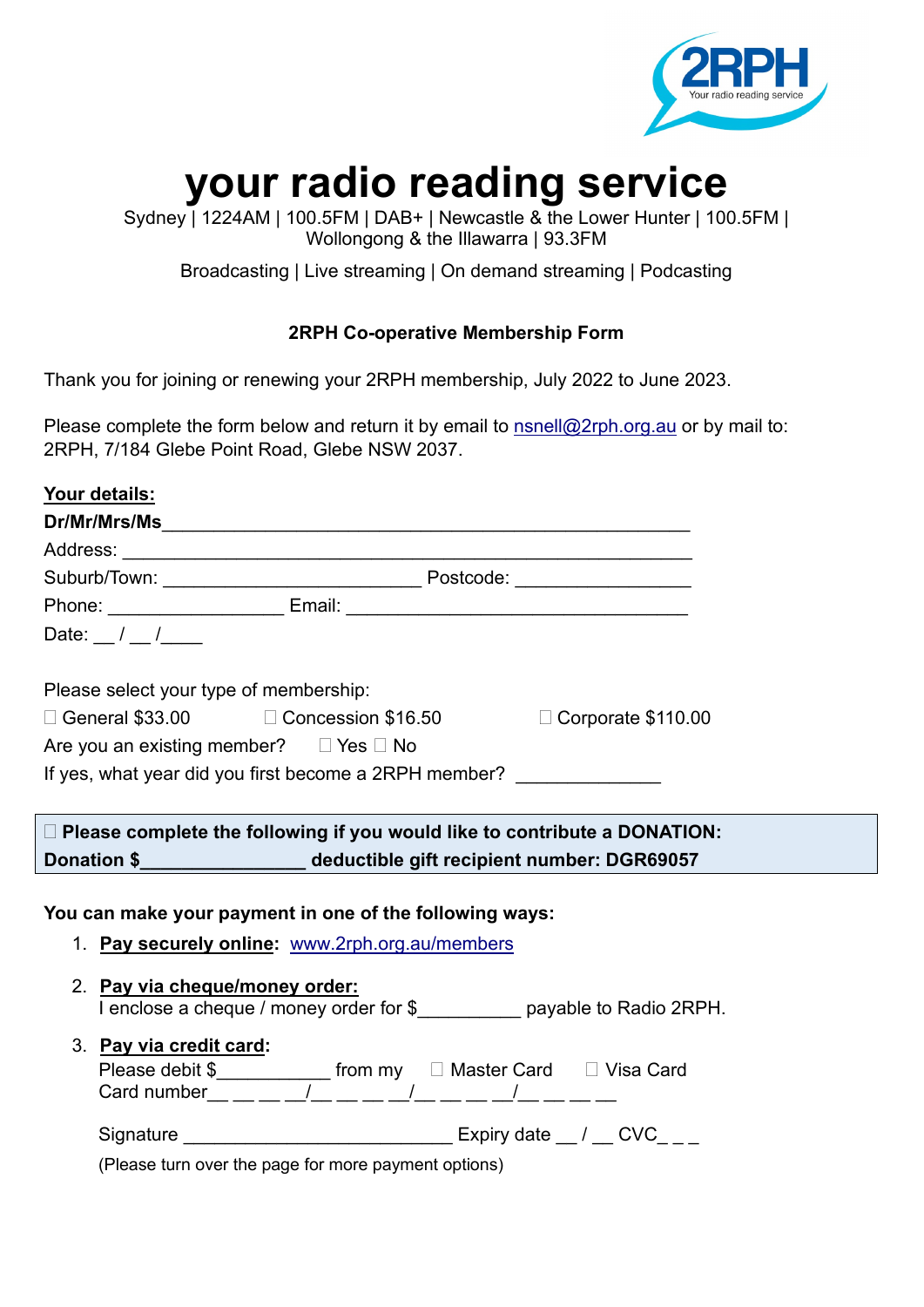

# **your radio reading service**

Sydney | 1224AM | 100.5FM | DAB+ | Newcastle & the Lower Hunter | 100.5FM | Wollongong & the Illawarra | 93.3FM

Broadcasting | Live streaming | On demand streaming | Podcasting

## **2RPH Co-operative Membership Form**

Thank you for joining or renewing your 2RPH membership, July 2022 to June 2023.

Please complete the form below and return it by email to [nsnell@2rph.org.au](mailto:nsnell@2rph.org.au) or by mail to: 2RPH, 7/184 Glebe Point Road, Glebe NSW 2037.

| <u>Your details:</u>       |                                                                                                            |  |  |  |
|----------------------------|------------------------------------------------------------------------------------------------------------|--|--|--|
|                            |                                                                                                            |  |  |  |
|                            |                                                                                                            |  |  |  |
|                            |                                                                                                            |  |  |  |
|                            |                                                                                                            |  |  |  |
| Date: $\frac{1}{\sqrt{2}}$ |                                                                                                            |  |  |  |
|                            | Please select your type of membership:                                                                     |  |  |  |
|                            |                                                                                                            |  |  |  |
|                            | Are you an existing member? $\Box$ Yes $\Box$ No                                                           |  |  |  |
|                            | If yes, what year did you first become a 2RPH member?                                                      |  |  |  |
|                            |                                                                                                            |  |  |  |
|                            | $\Box$ Please complete the following if you would like to contribute a DONATION:                           |  |  |  |
|                            | Donation \$______________________ deductible gift recipient number: DGR69057                               |  |  |  |
|                            |                                                                                                            |  |  |  |
|                            | You can make your payment in one of the following ways:                                                    |  |  |  |
|                            | 1. Pay securely online: www.2rph.org.au/members                                                            |  |  |  |
|                            |                                                                                                            |  |  |  |
|                            | 2. Pay via cheque/money order:<br>I enclose a cheque / money order for \$__________ payable to Radio 2RPH. |  |  |  |
|                            |                                                                                                            |  |  |  |
|                            | 3. Pay via credit card:                                                                                    |  |  |  |
|                            | Please debit \$______________ from my □ Master Card □ Visa Card                                            |  |  |  |
|                            | Card number__ __ __ _/__ __ __ _/__ __ __/__ __ __/__ ___                                                  |  |  |  |

| Signature | Expiry date |  |
|-----------|-------------|--|
|-----------|-------------|--|

(Please turn over the page for more payment options)